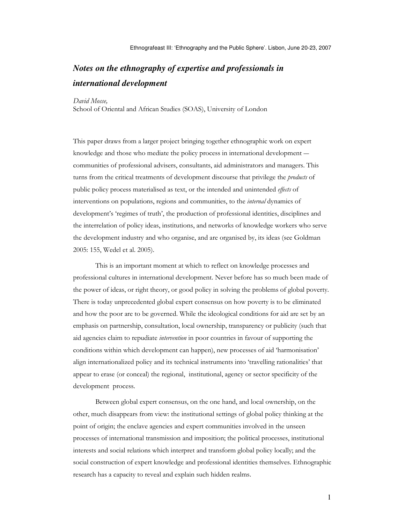# *Notes on the ethnography of expertise and professionals in international development*

David Mosse,

School of Oriental and African Studies (SOAS), University of London

This paper draws from a larger project bringing together ethnographic work on expert knowledge and those who mediate the policy process in international development ― communities of professional advisers, consultants, aid administrators and managers. This turns from the critical treatments of development discourse that privilege the *products* of public policy process materialised as text, or the intended and unintended effects of interventions on populations, regions and communities, to the internal dynamics of development's 'regimes of truth', the production of professional identities, disciplines and the interrelation of policy ideas, institutions, and networks of knowledge workers who serve the development industry and who organise, and are organised by, its ideas (see Goldman 2005: 155, Wedel et al. 2005).

This is an important moment at which to reflect on knowledge processes and professional cultures in international development. Never before has so much been made of the power of ideas, or right theory, or good policy in solving the problems of global poverty. There is today unprecedented global expert consensus on how poverty is to be eliminated and how the poor are to be governed. While the ideological conditions for aid are set by an emphasis on partnership, consultation, local ownership, transparency or publicity (such that aid agencies claim to repudiate intervention in poor countries in favour of supporting the conditions within which development can happen), new processes of aid 'harmonisation' align internationalized policy and its technical instruments into 'travelling rationalities' that appear to erase (or conceal) the regional, institutional, agency or sector specificity of the development process.

Between global expert consensus, on the one hand, and local ownership, on the other, much disappears from view: the institutional settings of global policy thinking at the point of origin; the enclave agencies and expert communities involved in the unseen processes of international transmission and imposition; the political processes, institutional interests and social relations which interpret and transform global policy locally; and the social construction of expert knowledge and professional identities themselves. Ethnographic research has a capacity to reveal and explain such hidden realms.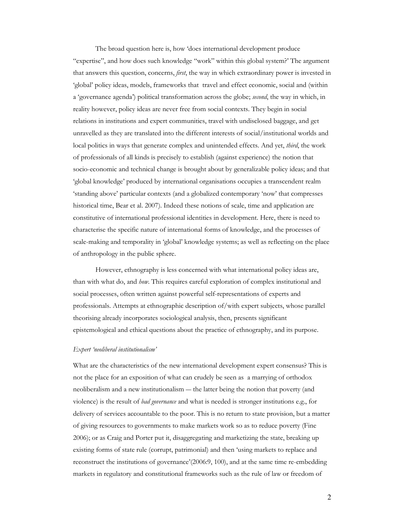The broad question here is, how 'does international development produce "expertise", and how does such knowledge "work" within this global system?' The argument that answers this question, concerns, first, the way in which extraordinary power is invested in 'global' policy ideas, models, frameworks that travel and effect economic, social and (within a 'governance agenda') political transformation across the globe; *second*, the way in which, in reality however, policy ideas are never free from social contexts. They begin in social relations in institutions and expert communities, travel with undisclosed baggage, and get unravelled as they are translated into the different interests of social/institutional worlds and local politics in ways that generate complex and unintended effects. And yet, *third*, the work of professionals of all kinds is precisely to establish (against experience) the notion that socio-economic and technical change is brought about by generalizable policy ideas; and that 'global knowledge' produced by international organisations occupies a transcendent realm 'standing above' particular contexts (and a globalized contemporary 'now' that compresses historical time, Bear et al. 2007). Indeed these notions of scale, time and application are constitutive of international professional identities in development. Here, there is need to characterise the specific nature of international forms of knowledge, and the processes of scale-making and temporality in 'global' knowledge systems; as well as reflecting on the place of anthropology in the public sphere.

However, ethnography is less concerned with what international policy ideas are, than with what do, and how. This requires careful exploration of complex institutional and social processes, often written against powerful self-representations of experts and professionals. Attempts at ethnographic description of/with expert subjects, whose parallel theorising already incorporates sociological analysis, then, presents significant epistemological and ethical questions about the practice of ethnography, and its purpose.

## Expert 'neoliberal institutionalism'

What are the characteristics of the new international development expert consensus? This is not the place for an exposition of what can crudely be seen as a marrying of orthodox neoliberalism and a new institutionalism ― the latter being the notion that poverty (and violence) is the result of bad governance and what is needed is stronger institutions e.g., for delivery of services accountable to the poor. This is no return to state provision, but a matter of giving resources to governments to make markets work so as to reduce poverty (Fine 2006); or as Craig and Porter put it, disaggregating and marketizing the state, breaking up existing forms of state rule (corrupt, patrimonial) and then 'using markets to replace and reconstruct the institutions of governance'(2006:9, 100), and at the same time re-embedding markets in regulatory and constitutional frameworks such as the rule of law or freedom of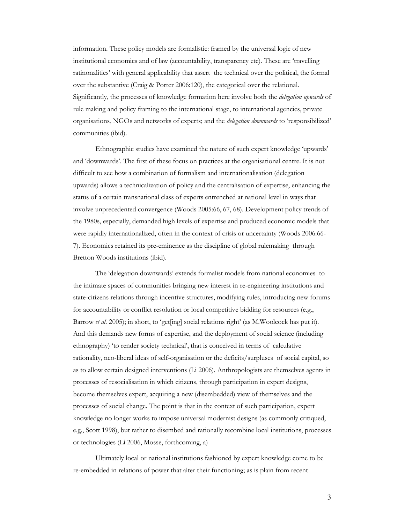information. These policy models are formalistic: framed by the universal logic of new institutional economics and of law (accountability, transparency etc). These are 'travelling ratinonalities' with general applicability that assert the technical over the political, the formal over the substantive (Craig & Porter 2006:120), the categorical over the relational. Significantly, the processes of knowledge formation here involve both the *delegation upwards* of rule making and policy framing to the international stage, to international agencies, private organisations, NGOs and networks of experts; and the delegation downwards to 'responsibilized' communities (ibid).

Ethnographic studies have examined the nature of such expert knowledge 'upwards' and 'downwards'. The first of these focus on practices at the organisational centre. It is not difficult to see how a combination of formalism and internationalisation (delegation upwards) allows a technicalization of policy and the centralisation of expertise, enhancing the status of a certain transnational class of experts entrenched at national level in ways that involve unprecedented convergence (Woods 2005:66, 67, 68). Development policy trends of the 1980s, especially, demanded high levels of expertise and produced economic models that were rapidly internationalized, often in the context of crisis or uncertainty (Woods 2006:66- 7). Economics retained its pre-eminence as the discipline of global rulemaking through Bretton Woods institutions (ibid).

The 'delegation downwards' extends formalist models from national economies to the intimate spaces of communities bringing new interest in re-engineering institutions and state-citizens relations through incentive structures, modifying rules, introducing new forums for accountability or conflict resolution or local competitive bidding for resources (e.g., Barrow et al. 2005); in short, to 'get[ing] social relations right' (as M.Woolcock has put it). And this demands new forms of expertise, and the deployment of social science (including ethnography) 'to render society technical', that is conceived in terms of calculative rationality, neo-liberal ideas of self-organisation or the deficits/surpluses of social capital, so as to allow certain designed interventions (Li 2006). Anthropologists are themselves agents in processes of resocialisation in which citizens, through participation in expert designs, become themselves expert, acquiring a new (disembedded) view of themselves and the processes of social change. The point is that in the context of such participation, expert knowledge no longer works to impose universal modernist designs (as commonly critiqued, e.g., Scott 1998), but rather to disembed and rationally recombine local institutions, processes or technologies (Li 2006, Mosse, forthcoming, a)

Ultimately local or national institutions fashioned by expert knowledge come to be re-embedded in relations of power that alter their functioning; as is plain from recent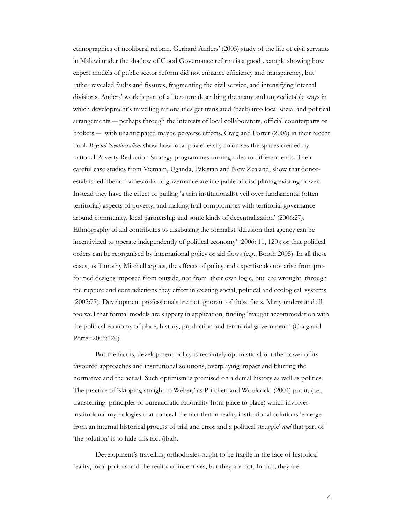ethnographies of neoliberal reform. Gerhard Anders' (2005) study of the life of civil servants in Malawi under the shadow of Good Governance reform is a good example showing how expert models of public sector reform did not enhance efficiency and transparency, but rather revealed faults and fissures, fragmenting the civil service, and intensifying internal divisions. Anders' work is part of a literature describing the many and unpredictable ways in which development's travelling rationalities get translated (back) into local social and political arrangements ― perhaps through the interests of local collaborators, official counterparts or brokers ― with unanticipated maybe perverse effects. Craig and Porter (2006) in their recent book Beyond Neoliberalism show how local power easily colonises the spaces created by national Poverty Reduction Strategy programmes turning rules to different ends. Their careful case studies from Vietnam, Uganda, Pakistan and New Zealand, show that donorestablished liberal frameworks of governance are incapable of disciplining existing power. Instead they have the effect of pulling 'a thin institutionalist veil over fundamental (often territorial) aspects of poverty, and making frail compromises with territorial governance around community, local partnership and some kinds of decentralization' (2006:27). Ethnography of aid contributes to disabusing the formalist 'delusion that agency can be incentivized to operate independently of political economy' (2006: 11, 120); or that political orders can be reorganised by international policy or aid flows (e.g., Booth 2005). In all these cases, as Timothy Mitchell argues, the effects of policy and expertise do not arise from preformed designs imposed from outside, not from their own logic, but are wrought through the rupture and contradictions they effect in existing social, political and ecological systems (2002:77). Development professionals are not ignorant of these facts. Many understand all too well that formal models are slippery in application, finding 'fraught accommodation with the political economy of place, history, production and territorial government ' (Craig and Porter 2006:120).

But the fact is, development policy is resolutely optimistic about the power of its favoured approaches and institutional solutions, overplaying impact and blurring the normative and the actual. Such optimism is premised on a denial history as well as politics. The practice of 'skipping straight to Weber,' as Pritchett and Woolcock (2004) put it, (i.e., transferring principles of bureaucratic rationality from place to place) which involves institutional mythologies that conceal the fact that in reality institutional solutions 'emerge from an internal historical process of trial and error and a political struggle' and that part of 'the solution' is to hide this fact (ibid).

Development's travelling orthodoxies ought to be fragile in the face of historical reality, local politics and the reality of incentives; but they are not. In fact, they are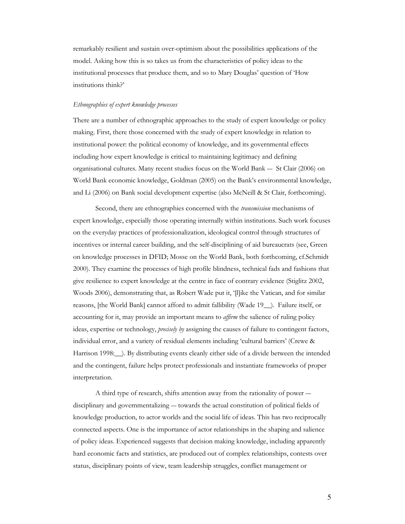remarkably resilient and sustain over-optimism about the possibilities applications of the model. Asking how this is so takes us from the characteristics of policy ideas to the institutional processes that produce them, and so to Mary Douglas' question of 'How institutions think?'

# Ethnographies of expert knowledge processes

There are a number of ethnographic approaches to the study of expert knowledge or policy making. First, there those concerned with the study of expert knowledge in relation to institutional power: the political economy of knowledge, and its governmental effects including how expert knowledge is critical to maintaining legitimacy and defining organisational cultures. Many recent studies focus on the World Bank ― St Clair (2006) on World Bank economic knowledge, Goldman (2005) on the Bank's environmental knowledge, and Li (2006) on Bank social development expertise (also McNeill & St Clair, forthcoming).

Second, there are ethnographies concerned with the *transmission* mechanisms of expert knowledge, especially those operating internally within institutions. Such work focuses on the everyday practices of professionalization, ideological control through structures of incentives or internal career building, and the self-disciplining of aid bureaucrats (see, Green on knowledge processes in DFID; Mosse on the World Bank, both forthcoming, cf.Schmidt 2000). They examine the processes of high profile blindness, technical fads and fashions that give resilience to expert knowledge at the centre in face of contrary evidence (Stiglitz 2002, Woods 2006), demonstrating that, as Robert Wade put it, '[l]ike the Vatican, and for similar reasons, [the World Bank] cannot afford to admit fallibility (Wade 19\_\_). Failure itself, or accounting for it, may provide an important means to *affirm* the salience of ruling policy ideas, expertise or technology, *precisely by* assigning the causes of failure to contingent factors, individual error, and a variety of residual elements including 'cultural barriers' (Crewe & Harrison 1998:\_\_). By distributing events cleanly either side of a divide between the intended and the contingent, failure helps protect professionals and instantiate frameworks of proper interpretation.

A third type of research, shifts attention away from the rationality of power ― disciplinary and governmentalizing ― towards the actual constitution of political fields of knowledge production, to actor worlds and the social life of ideas. This has two reciprocally connected aspects. One is the importance of actor relationships in the shaping and salience of policy ideas. Experienced suggests that decision making knowledge, including apparently hard economic facts and statistics, are produced out of complex relationships, contests over status, disciplinary points of view, team leadership struggles, conflict management or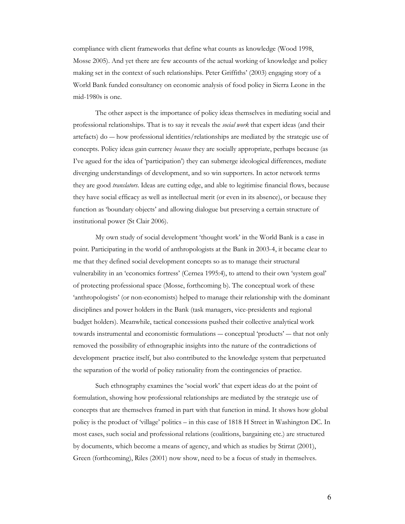compliance with client frameworks that define what counts as knowledge (Wood 1998, Mosse 2005). And yet there are few accounts of the actual working of knowledge and policy making set in the context of such relationships. Peter Griffiths' (2003) engaging story of a World Bank funded consultancy on economic analysis of food policy in Sierra Leone in the mid-1980s is one.

The other aspect is the importance of policy ideas themselves in mediating social and professional relationships. That is to say it reveals the social work that expert ideas (and their artefacts) do ― how professional identities/relationships are mediated by the strategic use of concepts. Policy ideas gain currency *because* they are socially appropriate, perhaps because (as I've agued for the idea of 'participation') they can submerge ideological differences, mediate diverging understandings of development, and so win supporters. In actor network terms they are good *translators*. Ideas are cutting edge, and able to legitimise financial flows, because they have social efficacy as well as intellectual merit (or even in its absence), or because they function as 'boundary objects' and allowing dialogue but preserving a certain structure of institutional power (St Clair 2006).

My own study of social development 'thought work' in the World Bank is a case in point. Participating in the world of anthropologists at the Bank in 2003-4, it became clear to me that they defined social development concepts so as to manage their structural vulnerability in an 'economics fortress' (Cernea 1995:4), to attend to their own 'system goal' of protecting professional space (Mosse, forthcoming b). The conceptual work of these 'anthropologists' (or non-economists) helped to manage their relationship with the dominant disciplines and power holders in the Bank (task managers, vice-presidents and regional budget holders). Meanwhile, tactical concessions pushed their collective analytical work towards instrumental and economistic formulations ― conceptual 'products' ― that not only removed the possibility of ethnographic insights into the nature of the contradictions of development practice itself, but also contributed to the knowledge system that perpetuated the separation of the world of policy rationality from the contingencies of practice.

Such ethnography examines the 'social work' that expert ideas do at the point of formulation, showing how professional relationships are mediated by the strategic use of concepts that are themselves framed in part with that function in mind. It shows how global policy is the product of 'village' politics – in this case of 1818 H Street in Washington DC. In most cases, such social and professional relations (coalitions, bargaining etc.) are structured by documents, which become a means of agency, and which as studies by Stirrat (2001), Green (forthcoming), Riles (2001) now show, need to be a focus of study in themselves.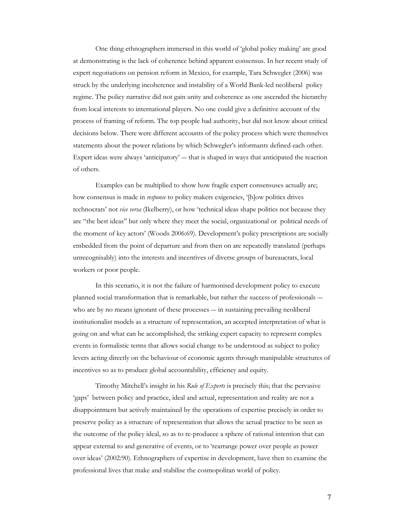One thing ethnographers immersed in this world of 'global policy making' are good at demonstrating is the lack of coherence behind apparent consensus. In her recent study of expert negotiations on pension reform in Mexico, for example, Tara Schwegler (2006) was struck by the underlying incoherence and instability of a World Bank-led neoliberal policy regime. The policy narrative did not gain unity and coherence as one ascended the hierarchy from local interests to international players. No one could give a definitive account of the process of framing of reform. The top people had authority, but did not know about critical decisions below. There were different accounts of the policy process which were themselves statements about the power relations by which Schwegler's informants defined each other. Expert ideas were always 'anticipatory' ― that is shaped in ways that anticipated the reaction of others.

Examples can be multiplied to show how fragile expert consensuses actually are; how consensus is made in *response* to policy makers exigencies, '[h]ow politics drives technocrats' not vice versa (Ikelberry), or how 'technical ideas shape politics not because they are "the best ideas" but only where they meet the social, organizational or political needs of the moment of key actors' (Woods 2006:69). Development's policy prescriptions are socially embedded from the point of departure and from then on are repeatedly translated (perhaps unrecognisably) into the interests and incentives of diverse groups of bureaucrats, local workers or poor people.

In this scenario, it is not the failure of harmonised development policy to execute planned social transformation that is remarkable, but rather the success of professionals ― who are by no means ignorant of these processes — in sustaining prevailing neoliberal institutionalist models as a structure of representation, an accepted interpretation of what is going on and what can be accomplished; the striking expert capacity to represent complex events in formalistic terms that allows social change to be understood as subject to policy levers acting directly on the behaviour of economic agents through manipulable structures of incentives so as to produce global accountability, efficiency and equity.

Timothy Mitchell's insight in his Rule of Experts is precisely this; that the pervasive 'gaps' between policy and practice, ideal and actual, representation and reality are not a disappointment but actively maintained by the operations of expertise precisely in order to preserve policy as a structure of representation that allows the actual practice to be seen as the outcome of the policy ideal, so as to re-producee a sphere of rational intention that can appear external to and generative of events, or to 'rearrange power over people as power over ideas' (2002:90). Ethnographers of expertise in development, have then to examine the professional lives that make and stabilise the cosmopolitan world of policy.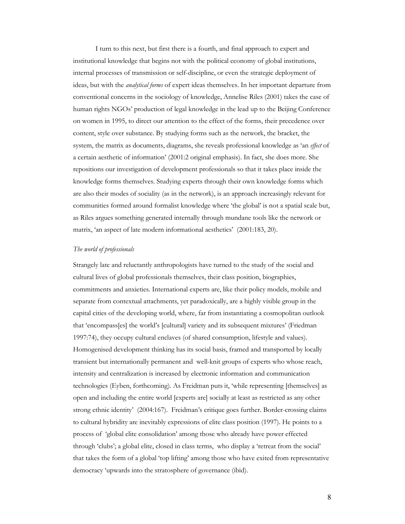I turn to this next, but first there is a fourth, and final approach to expert and institutional knowledge that begins not with the political economy of global institutions, internal processes of transmission or self-discipline, or even the strategic deployment of ideas, but with the analytical forms of expert ideas themselves. In her important departure from conventional concerns in the sociology of knowledge, Annelise Riles (2001) takes the case of human rights NGOs' production of legal knowledge in the lead up to the Beijing Conference on women in 1995, to direct our attention to the effect of the forms, their precedence over content, style over substance. By studying forms such as the network, the bracket, the system, the matrix as documents, diagrams, she reveals professional knowledge as 'an effect of a certain aesthetic of information' (2001:2 original emphasis). In fact, she does more. She repositions our investigation of development professionals so that it takes place inside the knowledge forms themselves. Studying experts through their own knowledge forms which are also their modes of sociality (as in the network), is an approach increasingly relevant for communities formed around formalist knowledge where 'the global' is not a spatial scale but, as Riles argues something generated internally through mundane tools like the network or matrix, 'an aspect of late modern informational aesthetics' (2001:183, 20).

#### The world of professionals

Strangely late and reluctantly anthropologists have turned to the study of the social and cultural lives of global professionals themselves, their class position, biographies, commitments and anxieties. International experts are, like their policy models, mobile and separate from contextual attachments, yet paradoxically, are a highly visible group in the capital cities of the developing world, where, far from instantiating a cosmopolitan outlook that 'encompass[es] the world's [cultural] variety and its subsequent mixtures' (Friedman 1997:74), they occupy cultural enclaves (of shared consumption, lifestyle and values). Homogenised development thinking has its social basis, framed and transported by locally transient but internationally permanent and well-knit groups of experts who whose reach, intensity and centralization is increased by electronic information and communication technologies (Eyben, forthcoming). As Freidman puts it, 'while representing [themselves] as open and including the entire world [experts are] socially at least as restricted as any other strong ethnic identity' (2004:167). Freidman's critique goes further. Border-crossing claims to cultural hybridity are inevitably expressions of elite class position (1997). He points to a process of 'global elite consolidation' among those who already have power effected through 'clubs'; a global elite, closed in class terms, who display a 'retreat from the social' that takes the form of a global 'top lifting' among those who have exited from representative democracy 'upwards into the stratosphere of governance (ibid).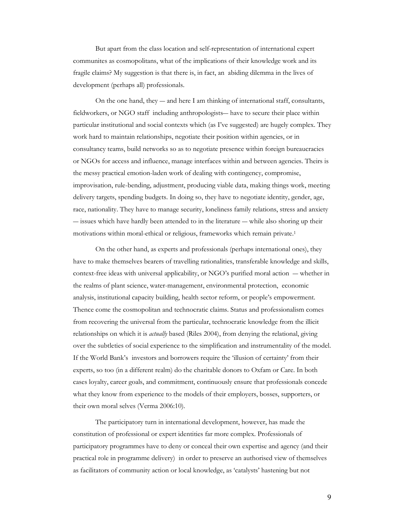But apart from the class location and self-representation of international expert communites as cosmopolitans, what of the implications of their knowledge work and its fragile claims? My suggestion is that there is, in fact, an abiding dilemma in the lives of development (perhaps all) professionals.

On the one hand, they ― and here I am thinking of international staff, consultants, fieldworkers, or NGO staff including anthropologists― have to secure their place within particular institutional and social contexts which (as I've suggested) are hugely complex. They work hard to maintain relationships, negotiate their position within agencies, or in consultancy teams, build networks so as to negotiate presence within foreign bureaucracies or NGOs for access and influence, manage interfaces within and between agencies. Theirs is the messy practical emotion-laden work of dealing with contingency, compromise, improvisation, rule-bending, adjustment, producing viable data, making things work, meeting delivery targets, spending budgets. In doing so, they have to negotiate identity, gender, age, race, nationality. They have to manage security, loneliness family relations, stress and anxiety ― issues which have hardly been attended to in the literature ― while also shoring up their motivations within moral-ethical or religious, frameworks which remain private.<sup>1</sup>

On the other hand, as experts and professionals (perhaps international ones), they have to make themselves bearers of travelling rationalities, transferable knowledge and skills, context-free ideas with universal applicability, or NGO's purified moral action ― whether in the realms of plant science, water-management, environmental protection, economic analysis, institutional capacity building, health sector reform, or people's empowerment. Thence come the cosmopolitan and technocratic claims. Status and professionalism comes from recovering the universal from the particular, technocratic knowledge from the illicit relationships on which it is *actually* based (Riles 2004), from denying the relational, giving over the subtleties of social experience to the simplification and instrumentality of the model. If the World Bank's investors and borrowers require the 'illusion of certainty' from their experts, so too (in a different realm) do the charitable donors to Oxfam or Care. In both cases loyalty, career goals, and commitment, continuously ensure that professionals concede what they know from experience to the models of their employers, bosses, supporters, or their own moral selves (Verma 2006:10).

The participatory turn in international development, however, has made the constitution of professional or expert identities far more complex. Professionals of participatory programmes have to deny or conceal their own expertise and agency (and their practical role in programme delivery) in order to preserve an authorised view of themselves as facilitators of community action or local knowledge, as 'catalysts' hastening but not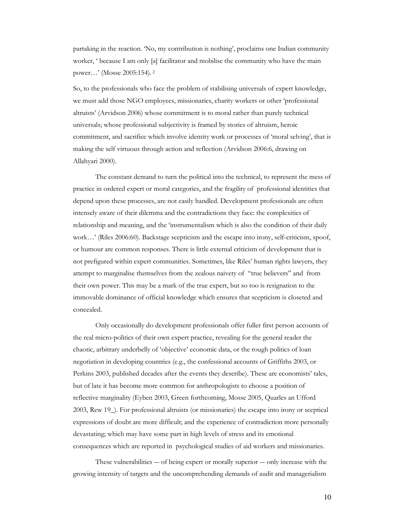partaking in the reaction. 'No, my contribution is nothing', proclaims one Indian community worker, ' because I am only [a] facilitator and mobilise the community who have the main power…' (Mosse 2005:154).<sup>2</sup>

So, to the professionals who face the problem of stabilising universals of expert knowledge, we must add those NGO employees, missionaries, charity workers or other 'professional altruists' (Arvidson 2006) whose commitment is to moral rather than purely technical universals; whose professional subjectivity is framed by stories of altruism, heroic commitment, and sacrifice which involve identity work or processes of 'moral selving', that is making the self virtuous through action and reflection (Arvidson 2006:6, drawing on Allahyari 2000).

The constant demand to turn the political into the technical, to represent the mess of practice in ordered expert or moral categories, and the fragility of professional identities that depend upon these processes, are not easily handled. Development professionals are often intensely aware of their dilemma and the contradictions they face: the complexities of relationship and meaning, and the 'instrumentalism which is also the condition of their daily work…' (Riles 2006:60). Backstage scepticism and the escape into irony, self-criticism, spoof, or humour are common responses. There is little external criticism of development that is not prefigured within expert communities. Sometimes, like Riles' human rights lawyers, they attempt to marginalise themselves from the zealous naivety of "true believers" and from their own power. This may be a mark of the true expert, but so too is resignation to the immovable dominance of official knowledge which ensures that scepticism is closeted and concealed.

Only occasionally do development professionals offer fuller first person accounts of the real micro-politics of their own expert practice, revealing for the general reader the chaotic, arbitrary underbelly of 'objective' economic data, or the rough politics of loan negotiation in developing countries (e.g., the confessional accounts of Griffiths 2003, or Perkins 2003, published decades after the events they describe). These are economists' tales, but of late it has become more common for anthropologists to choose a position of reflective marginality (Eyben 2003, Green forthcoming, Mosse 2005, Quarles an Ufford 2003, Rew 19\_). For professional altruists (or missionaries) the escape into irony or sceptical expressions of doubt are more difficult; and the experience of contradiction more personally devastating; which may have some part in high levels of stress and its emotional consequences which are reported in psychological studies of aid workers and missionaries.

These vulnerabilities ― of being expert or morally superior ― only increase with the growing intensity of targets and the uncomprehending demands of audit and managerialism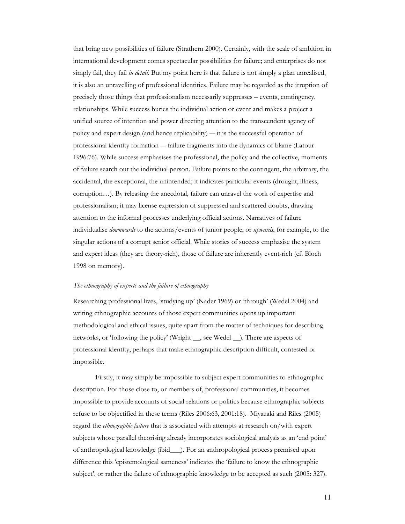that bring new possibilities of failure (Strathern 2000). Certainly, with the scale of ambition in international development comes spectacular possibilities for failure; and enterprises do not simply fail, they fail *in detail*. But my point here is that failure is not simply a plan unrealised, it is also an unravelling of professional identities. Failure may be regarded as the irruption of precisely those things that professionalism necessarily suppresses – events, contingency, relationships. While success buries the individual action or event and makes a project a unified source of intention and power directing attention to the transcendent agency of policy and expert design (and hence replicability) ― it is the successful operation of professional identity formation ― failure fragments into the dynamics of blame (Latour 1996:76). While success emphasises the professional, the policy and the collective, moments of failure search out the individual person. Failure points to the contingent, the arbitrary, the accidental, the exceptional, the unintended; it indicates particular events (drought, illness, corruption…). By releasing the anecdotal, failure can unravel the work of expertise and professionalism; it may license expression of suppressed and scattered doubts, drawing attention to the informal processes underlying official actions. Narratives of failure individualise downwards to the actions/events of junior people, or upwards, for example, to the singular actions of a corrupt senior official. While stories of success emphasise the system and expert ideas (they are theory-rich), those of failure are inherently event-rich (cf. Bloch 1998 on memory).

## The ethnography of experts and the failure of ethnography

Researching professional lives, 'studying up' (Nader 1969) or 'through' (Wedel 2004) and writing ethnographic accounts of those expert communities opens up important methodological and ethical issues, quite apart from the matter of techniques for describing networks, or 'following the policy' (Wright \_\_, see Wedel \_\_). There are aspects of professional identity, perhaps that make ethnographic description difficult, contested or impossible.

Firstly, it may simply be impossible to subject expert communities to ethnographic description. For those close to, or members of, professional communities, it becomes impossible to provide accounts of social relations or politics because ethnographic subjects refuse to be objectified in these terms (Riles 2006:63, 2001:18). Miyazaki and Riles (2005) regard the ethnographic failure that is associated with attempts at research on/with expert subjects whose parallel theorising already incorporates sociological analysis as an 'end point' of anthropological knowledge (ibid\_\_\_). For an anthropological process premised upon difference this 'epistemological sameness' indicates the 'failure to know the ethnographic subject', or rather the failure of ethnographic knowledge to be accepted as such (2005: 327).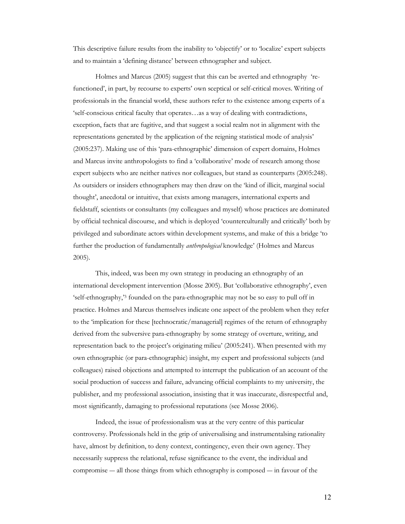This descriptive failure results from the inability to 'objectify' or to 'localize' expert subjects and to maintain a 'defining distance' between ethnographer and subject.

Holmes and Marcus (2005) suggest that this can be averted and ethnography 'refunctioned', in part, by recourse to experts' own sceptical or self-critical moves. Writing of professionals in the financial world, these authors refer to the existence among experts of a 'self-conscious critical faculty that operates…as a way of dealing with contradictions, exception, facts that are fugitive, and that suggest a social realm not in alignment with the representations generated by the application of the reigning statistical mode of analysis' (2005:237). Making use of this 'para-ethnographic' dimension of expert domains, Holmes and Marcus invite anthropologists to find a 'collaborative' mode of research among those expert subjects who are neither natives nor colleagues, but stand as counterparts (2005:248). As outsiders or insiders ethnographers may then draw on the 'kind of illicit, marginal social thought', anecdotal or intuitive, that exists among managers, international experts and fieldstaff, scientists or consultants (my colleagues and myself) whose practices are dominated by official technical discourse, and which is deployed 'counterculturally and critically' both by privileged and subordinate actors within development systems, and make of this a bridge 'to further the production of fundamentally *anthropological* knowledge' (Holmes and Marcus 2005).

This, indeed, was been my own strategy in producing an ethnography of an international development intervention (Mosse 2005). But 'collaborative ethnography', even 'self-ethnography,'3 founded on the para-ethnographic may not be so easy to pull off in practice. Holmes and Marcus themselves indicate one aspect of the problem when they refer to the 'implication for these [technocratic/managerial] regimes of the return of ethnography derived from the subversive para-ethnography by some strategy of overture, writing, and representation back to the project's originating milieu' (2005:241). When presented with my own ethnographic (or para-ethnographic) insight, my expert and professional subjects (and colleagues) raised objections and attempted to interrupt the publication of an account of the social production of success and failure, advancing official complaints to my university, the publisher, and my professional association, insisting that it was inaccurate, disrespectful and, most significantly, damaging to professional reputations (see Mosse 2006).

Indeed, the issue of professionalism was at the very centre of this particular controversy. Professionals held in the grip of universalising and instrumentalsing rationality have, almost by definition, to deny context, contingency, even their own agency. They necessarily suppress the relational, refuse significance to the event, the individual and compromise ― all those things from which ethnography is composed ― in favour of the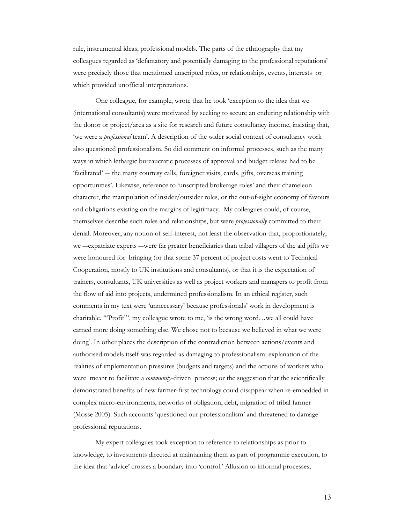rule, instrumental ideas, professional models. The parts of the ethnography that my colleagues regarded as 'defamatory and potentially damaging to the professional reputations' were precisely those that mentioned unscripted roles, or relationships, events, interests or which provided unofficial interpretations.

One colleague, for example, wrote that he took 'exception to the idea that we (international consultants) were motivated by seeking to secure an enduring relationship with the donor or project/area as a site for research and future consultancy income, insisting that, 'we were a professional team'. A description of the wider social context of consultancy work also questioned professionalism. So did comment on informal processes, such as the many ways in which lethargic bureaucratic processes of approval and budget release had to be 'facilitated' ― the many courtesy calls, foreigner visits, cards, gifts, overseas training opportunities'. Likewise, reference to 'unscripted brokerage roles' and their chameleon character, the manipulation of insider/outsider roles, or the out-of-sight economy of favours and obligations existing on the margins of legitimacy. My colleagues could, of course, themselves describe such roles and relationships, but were professionally committed to their denial. Moreover, any notion of self-interest, not least the observation that, proportionately, we ―expatriate experts ―were far greater beneficiaries than tribal villagers of the aid gifts we were honoured for bringing (or that some 37 percent of project costs went to Technical Cooperation, mostly to UK institutions and consultants), or that it is the expectation of trainers, consultants, UK universities as well as project workers and managers to profit from the flow of aid into projects, undermined professionalism. In an ethical register, such comments in my text were 'unnecessary' because professionals' work in development is charitable. '"Profit"', my colleague wrote to me, 'is the wrong word…we all could have earned more doing something else. We chose not to because we believed in what we were doing'. In other places the description of the contradiction between actions/events and authorised models itself was regarded as damaging to professionalism: explanation of the realities of implementation pressures (budgets and targets) and the actions of workers who were meant to facilitate a *community*-driven process; or the suggestion that the scientifically demonstrated benefits of new farmer-first technology could disappear when re-embedded in complex micro-environments, networks of obligation, debt, migration of tribal farmer (Mosse 2005). Such accounts 'questioned our professionalism' and threatened to damage professional reputations.

My expert colleagues took exception to reference to relationships as prior to knowledge, to investments directed at maintaining them as part of programme execution, to the idea that 'advice' crosses a boundary into 'control.' Allusion to informal processes,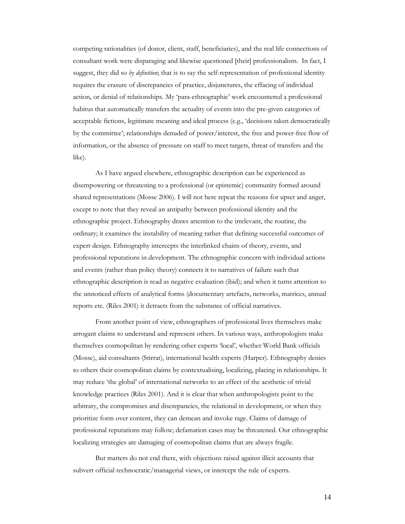competing rationalities (of donor, client, staff, beneficiaries), and the real life connections of consultant work were disparaging and likewise questioned [their] professionalism. In fact, I suggest, they did so by definition; that is to say the self-representation of professional identity requires the erasure of discrepancies of practice, disjunctures, the effacing of individual action, or denial of relationships. My 'para-ethnographic' work encountered a professional habitus that automatically transfers the actuality of events into the pre-given categories of acceptable fictions, legitimate meaning and ideal process (e.g., 'decisions taken democratically by the committee'; relationships denuded of power/interest, the free and power-free flow of information, or the absence of pressure on staff to meet targets, threat of transfers and the like).

As I have argued elsewhere, ethnographic description can be experienced as disempowering or threatening to a professional (or epistemic) community formed around shared representations (Mosse 2006). I will not here repeat the reasons for upset and anger, except to note that they reveal an antipathy between professional identity and the ethnographic project. Ethnography draws attention to the irrelevant, the routine, the ordinary; it examines the instability of meaning rather that defining successful outcomes of expert design. Ethnography intercepts the interlinked chains of theory, events, and professional reputations in development. The ethnographic concern with individual actions and events (rather than policy theory) connects it to narratives of failure such that ethnographic description is read as negative evaluation (ibid); and when it turns attention to the unnoticed effects of analytical forms (documentary artefacts, networks, matrices, annual reports etc. (Riles 2001) it detracts from the substance of official narratives.

From another point of view, ethnographers of professional lives themselves make arrogant claims to understand and represent others. In various ways, anthropologists make themselves cosmopolitan by rendering other experts 'local', whether World Bank officials (Mosse), aid consultants (Stirrat), international health experts (Harper). Ethnography denies to others their cosmopolitan claims by contextualising, localizing, placing in relationships. It may reduce 'the global' of international networks to an effect of the aesthetic of trivial knowledge practices (Riles 2001). And it is clear that when anthropologists point to the arbitrary, the compromises and discrepancies, the relational in development, or when they prioritize form over content, they can demean and invoke rage. Claims of damage of professional reputations may follow; defamation cases may be threatened. Our ethnographic localizing strategies are damaging of cosmopolitan claims that are always fragile.

But matters do not end there, with objections raised against illicit accounts that subvert official technocratic/managerial views, or intercept the rule of experts.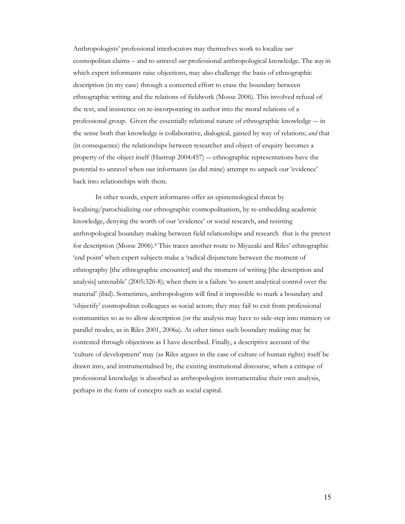Anthropologists' professional interlocutors may themselves work to localize our cosmopolitan claims – and to unravel *our* professional anthropological knowledge. The *way* in which expert informants raise objections, may also challenge the basis of ethnographic description (in my case) through a concerted effort to erase the boundary between ethnographic writing and the relations of fieldwork (Mosse 2006). This involved refusal of the text, and insistence on re-incorporating its author into the moral relations of a professional group. Given the essentially relational nature of ethnographic knowledge ― in the sense both that knowledge is collaborative, dialogical, gained by way of relations; and that (in consequence) the relationships between researcher and object of enquiry becomes a property of the object itself (Hastrup 2004:457) ― ethnographic representations have the potential to unravel when our informants (as did mine) attempt to unpack our 'evidence' back into relationships with them.

In other words, expert informants offer an epistemological threat by localising/parochializing our ethnographic cosmopolitanism, by re-embedding academic knowledge, denying the worth of our 'evidence' or social research, and resisting anthropological boundary making between field relationships and research that is the pretext for description (Mosse 2006).4 This traces another route to Miyazaki and Riles' ethnographic 'end point' when expert subjects make a 'radical disjuncture between the moment of ethnography [the ethnographic encounter] and the moment of writing [the description and analysis] untenable' (2005:326-8); when there is a failure 'to assert analytical control over the material' (ibid). Sometimes, anthropologists will find it impossible to mark a boundary and 'objectify' cosmopolitan colleagues as social actors; they may fail to exit from professional communities so as to allow description (or the analysis may have to side-step into mimicry or parallel modes, as in Riles 2001, 2006a). At other times such boundary making may be contested through objections as I have described. Finally, a descriptive account of the 'culture of development' may (as Riles argues in the case of culture of human rights) itself be drawn into, and instrumentalised by, the existing institutional discourse, when a critique of professional knowledge is absorbed as anthropologists instrumentalise their own analysis, perhaps in the form of concepts such as social capital.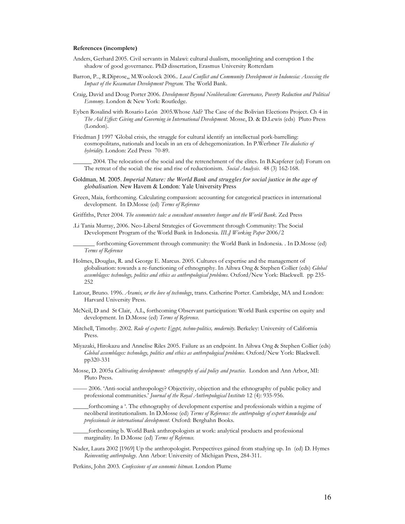#### References (incomplete)

- Anders, Gerhard 2005. Civil servants in Malawi: cultural dualism, moonlighting and corruption I the shadow of good governance. PhD dissertation, Erasmus University Rotterdam
- Barron, P.., R.Diprose,, M.Woolcock 2006.. Local Conflict and Community Development in Indonesia: Assessing the Impact of the Kecamatan Development Program. The World Bank.
- Craig, David and Doug Porter 2006. Development Beyond Neoliberalism: Governance, Poverty Reduction and Political Economy. London & New York: Routledge.
- Eyben Rosalind with Rosario León 2005.Whose Aid? The Case of the Bolivian Elections Project. Ch 4 in The Aid Effect: Giving and Governing in International Development. Mosse, D. & D.Lewis (eds) Pluto Press (London).
- Friedman J 1997 'Global crisis, the struggle for cultural identify an intellectual pork-barrelling: cosmopolitans, nationals and locals in an era of dehegemonization. In P.Werbner The dialectics of hybridity. London: Zed Press 70-89.

\_\_\_\_\_\_ 2004. The relocation of the social and the retrenchment of the elites. In B.Kapferer (ed) Forum on The retreat of the social: the rise and rise of reductionism. *Social Analysis*. 48 (3) 162-168.

- Goldman, M. 2005. *Imperial Nature: the World Bank and struggles for social justice in the age of globalisation.* New Havem & London: Yale University Press
- Green, Maia, forthcoming. Calculating compassion: accounting for categorical practices in international development. In D.Mosse (ed) Terms of Reference
- Griffiths, Peter 2004. The economists tale: a consultant encounters hunger and the World Bank. Zed Press
- .Li Tania Murray, 2006. Neo-Liberal Strategies of Government through Community: The Social Development Program of the World Bank in Indonesia. IILJ Working Paper 2006/2

forthcoming Government through community: the World Bank in Indonesia. . In D.Mosse (ed) Terms of Reference

- Holmes, Douglas, R. and George E. Marcus. 2005. Cultures of expertise and the management of globalisation: towards a re-functioning of ethnography. In Aihwa Ong & Stephen Collier (eds) Global assemblages: technology, politics and ethics as anthropological problems. Oxford/New York: Blackwell. pp 235- 252
- Latour, Bruno. 1996. Aramis, or the love of technology, trans. Catherine Porter. Cambridge, MA and London: Harvard University Press.
- McNeil, D and St Clair, A.L, forthcoming Observant participation: World Bank expertise on equity and development. In D.Mosse (ed) Terms of Reference.
- Mitchell, Timothy. 2002. Rule of experts: Egypt, techno-politics, modernity. Berkeley: University of California Press.
- Miyazaki, Hirokazu and Annelise Riles 2005. Failure as an endpoint. In Aihwa Ong & Stephen Collier (eds) Global assemblages: technology, politics and ethics as anthropological problems. Oxford/New York: Blackwell. pp320-331
- Mosse, D. 2005a Cultivating development: ethnography of aid policy and practice. London and Ann Arbor, MI: Pluto Press.
- ――― 2006. 'Anti-social anthropology? Objectivity, objection and the ethnography of public policy and professional communities.' Journal of the Royal Anthropological Institute 12 (4): 935-956.
- \_\_\_\_\_forthcoming a '. The ethnography of development expertise and professionals within a regime of neoliberal institutionalism. In D.Mosse (ed) Terms of Reference: the anthropology of expert knowledge and professionals in international development. Oxford: Berghahn Books.

\_\_\_\_\_forthcoming b. World Bank anthropologists at work: analytical products and professional marginality. In D.Mosse (ed) Terms of Reference.

Nader, Laura 2002 [1969] Up the anthropologist. Perspectives gained from studying up. In (ed) D. Hymes Reinventing anthropology. Ann Arbor: University of Michigan Press, 284-311.

Perkins, John 2003. Confessions of an economic hitman. London Plume